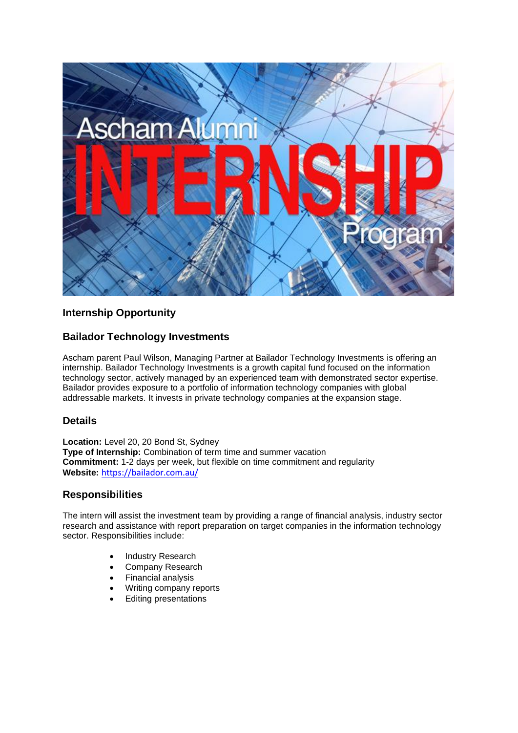

# **Internship Opportunity**

## **Bailador Technology Investments**

Ascham parent Paul Wilson, Managing Partner at Bailador Technology Investments is offering an internship. Bailador Technology Investments is a growth capital fund focused on the information technology sector, actively managed by an experienced team with demonstrated sector expertise. Bailador provides exposure to a portfolio of information technology companies with global addressable markets. It invests in private technology companies at the expansion stage.

## **Details**

**Location:** Level 20, 20 Bond St, Sydney **Type of Internship:** Combination of term time and summer vacation **Commitment:** 1-2 days per week, but flexible on time commitment and regularity **Website:** <https://bailador.com.au/>

## **Responsibilities**

The intern will assist the investment team by providing a range of financial analysis, industry sector research and assistance with report preparation on target companies in the information technology sector. Responsibilities include:

- Industry Research
- Company Research
- Financial analysis
- Writing company reports
- Editing presentations